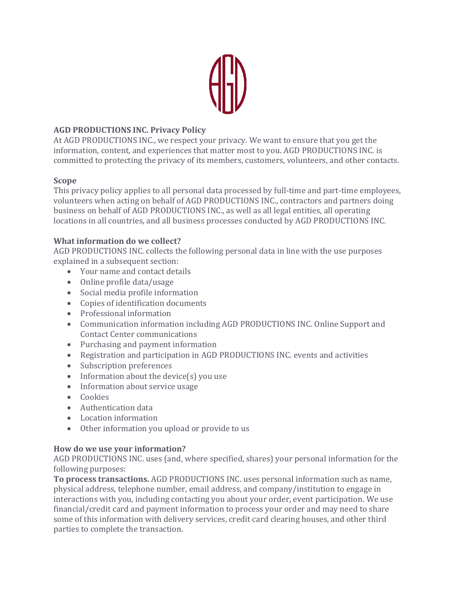

# **AGD PRODUCTIONS INC. Privacy Policy**

At AGD PRODUCTIONS INC., we respect your privacy. We want to ensure that you get the information, content, and experiences that matter most to you. AGD PRODUCTIONS INC. is committed to protecting the privacy of its members, customers, volunteers, and other contacts.

## **Scope**

This privacy policy applies to all personal data processed by full-time and part-time employees, volunteers when acting on behalf of AGD PRODUCTIONS INC., contractors and partners doing business on behalf of AGD PRODUCTIONS INC., as well as all legal entities, all operating locations in all countries, and all business processes conducted by AGD PRODUCTIONS INC.

## **What information do we collect?**

AGD PRODUCTIONS INC. collects the following personal data in line with the use purposes explained in a subsequent section:

- Your name and contact details
- Online profile data/usage
- Social media profile information
- Copies of identification documents
- Professional information
- Communication information including AGD PRODUCTIONS INC. Online Support and Contact Center communications
- Purchasing and payment information
- Registration and participation in AGD PRODUCTIONS INC. events and activities
- Subscription preferences
- Information about the device(s) you use
- Information about service usage
- Cookies
- Authentication data
- Location information
- Other information you upload or provide to us

## **How do we use your information?**

AGD PRODUCTIONS INC. uses (and, where specified, shares) your personal information for the following purposes:

**To process transactions.** AGD PRODUCTIONS INC. uses personal information such as name, physical address, telephone number, email address, and company/institution to engage in interactions with you, including contacting you about your order, event participation. We use financial/credit card and payment information to process your order and may need to share some of this information with delivery services, credit card clearing houses, and other third parties to complete the transaction.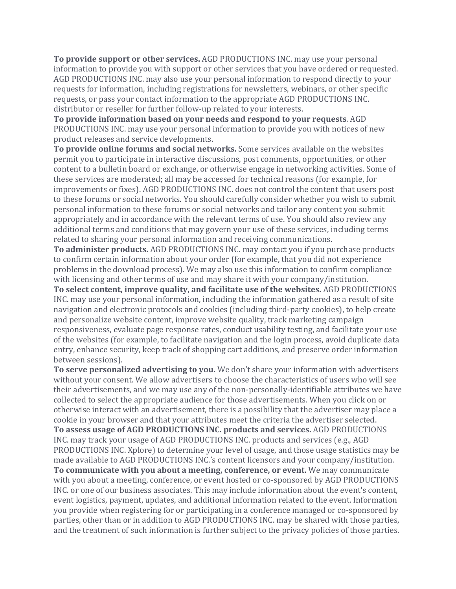**To provide support or other services.** AGD PRODUCTIONS INC. may use your personal information to provide you with support or other services that you have ordered or requested. AGD PRODUCTIONS INC. may also use your personal information to respond directly to your requests for information, including registrations for newsletters, webinars, or other specific requests, or pass your contact information to the appropriate AGD PRODUCTIONS INC. distributor or reseller for further follow-up related to your interests.

**To provide information based on your needs and respond to your requests**. AGD PRODUCTIONS INC. may use your personal information to provide you with notices of new product releases and service developments.

**To provide online forums and social networks.** Some services available on the websites permit you to participate in interactive discussions, post comments, opportunities, or other content to a bulletin board or exchange, or otherwise engage in networking activities. Some of these services are moderated; all may be accessed for technical reasons (for example, for improvements or fixes). AGD PRODUCTIONS INC. does not control the content that users post to these forums or social networks. You should carefully consider whether you wish to submit personal information to these forums or social networks and tailor any content you submit appropriately and in accordance with the relevant terms of use. You should also review any additional terms and conditions that may govern your use of these services, including terms related to sharing your personal information and receiving communications.

**To administer products.** AGD PRODUCTIONS INC. may contact you if you purchase products to confirm certain information about your order (for example, that you did not experience problems in the download process). We may also use this information to confirm compliance with licensing and other terms of use and may share it with your company/institution.

**To select content, improve quality, and facilitate use of the websites.** AGD PRODUCTIONS INC. may use your personal information, including the information gathered as a result of site navigation and electronic protocols and cookies (including third-party cookies), to help create and personalize website content, improve website quality, track marketing campaign responsiveness, evaluate page response rates, conduct usability testing, and facilitate your use of the websites (for example, to facilitate navigation and the login process, avoid duplicate data entry, enhance security, keep track of shopping cart additions, and preserve order information between sessions).

**To serve personalized advertising to you.** We don't share your information with advertisers without your consent. We allow advertisers to choose the characteristics of users who will see their advertisements, and we may use any of the non-personally-identifiable attributes we have collected to select the appropriate audience for those advertisements. When you click on or otherwise interact with an advertisement, there is a possibility that the advertiser may place a cookie in your browser and that your attributes meet the criteria the advertiser selected. **To assess usage of AGD PRODUCTIONS INC. products and services.** AGD PRODUCTIONS INC. may track your usage of AGD PRODUCTIONS INC. products and services (e.g., AGD PRODUCTIONS INC. Xplore) to determine your level of usage, and those usage statistics may be made available to AGD PRODUCTIONS INC.'s content licensors and your company/institution. **To communicate with you about a meeting, conference, or event.** We may communicate with you about a meeting, conference, or event hosted or co-sponsored by AGD PRODUCTIONS INC. or one of our business associates. This may include information about the event's content, event logistics, payment, updates, and additional information related to the event. Information you provide when registering for or participating in a conference managed or co-sponsored by parties, other than or in addition to AGD PRODUCTIONS INC. may be shared with those parties, and the treatment of such information is further subject to the privacy policies of those parties.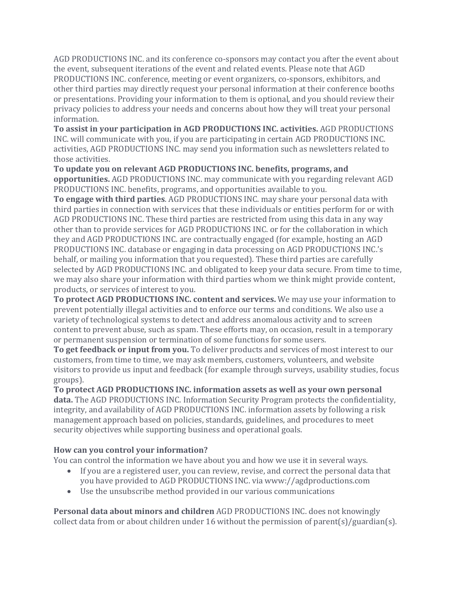AGD PRODUCTIONS INC. and its conference co-sponsors may contact you after the event about the event, subsequent iterations of the event and related events. Please note that AGD PRODUCTIONS INC. conference, meeting or event organizers, co-sponsors, exhibitors, and other third parties may directly request your personal information at their conference booths or presentations. Providing your information to them is optional, and you should review their privacy policies to address your needs and concerns about how they will treat your personal information.

**To assist in your participation in AGD PRODUCTIONS INC. activities.** AGD PRODUCTIONS INC. will communicate with you, if you are participating in certain AGD PRODUCTIONS INC. activities, AGD PRODUCTIONS INC. may send you information such as newsletters related to those activities.

**To update you on relevant AGD PRODUCTIONS INC. benefits, programs, and opportunities.** AGD PRODUCTIONS INC. may communicate with you regarding relevant AGD PRODUCTIONS INC. benefits, programs, and opportunities available to you.

**To engage with third parties**. AGD PRODUCTIONS INC. may share your personal data with third parties in connection with services that these individuals or entities perform for or with AGD PRODUCTIONS INC. These third parties are restricted from using this data in any way other than to provide services for AGD PRODUCTIONS INC. or for the collaboration in which they and AGD PRODUCTIONS INC. are contractually engaged (for example, hosting an AGD PRODUCTIONS INC. database or engaging in data processing on AGD PRODUCTIONS INC.'s behalf, or mailing you information that you requested). These third parties are carefully selected by AGD PRODUCTIONS INC. and obligated to keep your data secure. From time to time, we may also share your information with third parties whom we think might provide content, products, or services of interest to you.

**To protect AGD PRODUCTIONS INC. content and services.** We may use your information to prevent potentially illegal activities and to enforce our terms and conditions. We also use a variety of technological systems to detect and address anomalous activity and to screen content to prevent abuse, such as spam. These efforts may, on occasion, result in a temporary or permanent suspension or termination of some functions for some users.

**To get feedback or input from you.** To deliver products and services of most interest to our customers, from time to time, we may ask members, customers, volunteers, and website visitors to provide us input and feedback (for example through surveys, usability studies, focus groups).

**To protect AGD PRODUCTIONS INC. information assets as well as your own personal data.** The AGD PRODUCTIONS INC. Information Security Program protects the confidentiality, integrity, and availability of AGD PRODUCTIONS INC. information assets by following a risk management approach based on policies, standards, guidelines, and procedures to meet security objectives while supporting business and operational goals.

## **How can you control your information?**

You can control the information we have about you and how we use it in several ways.

- If you are a registered user, you can review, revise, and correct the personal data that you have provided to AGD PRODUCTIONS INC. via www://agdproductions.com
- Use the unsubscribe method provided in our various communications

**Personal data about minors and children** AGD PRODUCTIONS INC. does not knowingly collect data from or about children under 16 without the permission of parent(s)/guardian(s).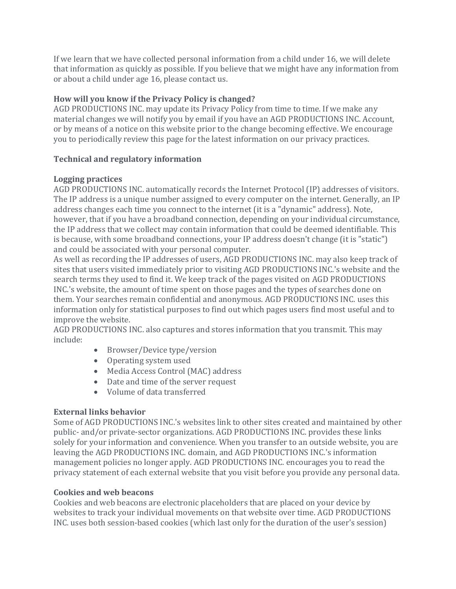If we learn that we have collected personal information from a child under 16, we will delete that information as quickly as possible. If you believe that we might have any information from or about a child under age 16, please contact us.

## **How will you know if the Privacy Policy is changed?**

AGD PRODUCTIONS INC. may update its Privacy Policy from time to time. If we make any material changes we will notify you by email if you have an AGD PRODUCTIONS INC. Account, or by means of a notice on this website prior to the change becoming effective. We encourage you to periodically review this page for the latest information on our privacy practices.

### **Technical and regulatory information**

### **Logging practices**

AGD PRODUCTIONS INC. automatically records the Internet Protocol (IP) addresses of visitors. The IP address is a unique number assigned to every computer on the internet. Generally, an IP address changes each time you connect to the internet (it is a "dynamic" address). Note, however, that if you have a broadband connection, depending on your individual circumstance, the IP address that we collect may contain information that could be deemed identifiable. This is because, with some broadband connections, your IP address doesn't change (it is "static") and could be associated with your personal computer.

As well as recording the IP addresses of users, AGD PRODUCTIONS INC. may also keep track of sites that users visited immediately prior to visiting AGD PRODUCTIONS INC.'s website and the search terms they used to find it. We keep track of the pages visited on AGD PRODUCTIONS INC.'s website, the amount of time spent on those pages and the types of searches done on them. Your searches remain confidential and anonymous. AGD PRODUCTIONS INC. uses this information only for statistical purposes to find out which pages users find most useful and to improve the website.

AGD PRODUCTIONS INC. also captures and stores information that you transmit. This may include:

- Browser/Device type/version
- Operating system used
- Media Access Control (MAC) address
- Date and time of the server request
- Volume of data transferred

#### **External links behavior**

Some of AGD PRODUCTIONS INC.'s websites link to other sites created and maintained by other public- and/or private-sector organizations. AGD PRODUCTIONS INC. provides these links solely for your information and convenience. When you transfer to an outside website, you are leaving the AGD PRODUCTIONS INC. domain, and AGD PRODUCTIONS INC.'s information management policies no longer apply. AGD PRODUCTIONS INC. encourages you to read the privacy statement of each external website that you visit before you provide any personal data.

#### **Cookies and web beacons**

Cookies and web beacons are electronic placeholders that are placed on your device by websites to track your individual movements on that website over time. AGD PRODUCTIONS INC. uses both session-based cookies (which last only for the duration of the user's session)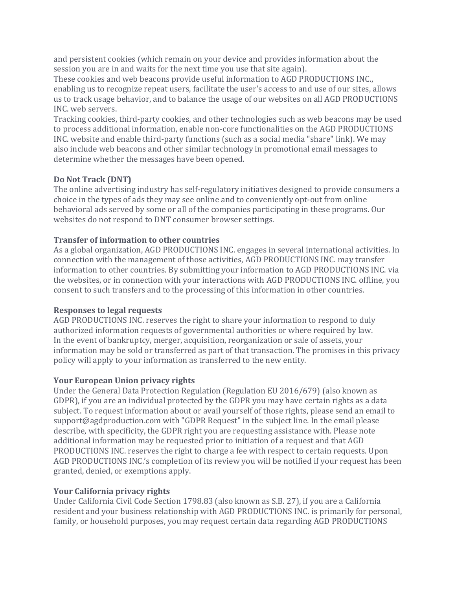and persistent cookies (which remain on your device and provides information about the session you are in and waits for the next time you use that site again).

These cookies and web beacons provide useful information to AGD PRODUCTIONS INC., enabling us to recognize repeat users, facilitate the user's access to and use of our sites, allows us to track usage behavior, and to balance the usage of our websites on all AGD PRODUCTIONS INC. web servers.

Tracking cookies, third-party cookies, and other technologies such as web beacons may be used to process additional information, enable non-core functionalities on the AGD PRODUCTIONS INC. website and enable third-party functions (such as a social media "share" link). We may also include web beacons and other similar technology in promotional email messages to determine whether the messages have been opened.

### **Do Not Track (DNT)**

The online advertising industry has self-regulatory initiatives designed to provide consumers a choice in the types of ads they may see online and to conveniently opt-out from online behavioral ads served by some or all of the companies participating in these programs. Our websites do not respond to DNT consumer browser settings.

### **Transfer of information to other countries**

As a global organization, AGD PRODUCTIONS INC. engages in several international activities. In connection with the management of those activities, AGD PRODUCTIONS INC. may transfer information to other countries. By submitting your information to AGD PRODUCTIONS INC. via the websites, or in connection with your interactions with AGD PRODUCTIONS INC. offline, you consent to such transfers and to the processing of this information in other countries.

#### **Responses to legal requests**

AGD PRODUCTIONS INC. reserves the right to share your information to respond to duly authorized information requests of governmental authorities or where required by law. In the event of bankruptcy, merger, acquisition, reorganization or sale of assets, your information may be sold or transferred as part of that transaction. The promises in this privacy policy will apply to your information as transferred to the new entity.

#### **Your European Union privacy rights**

Under the General Data Protection Regulation (Regulation EU 2016/679) (also known as GDPR), if you are an individual protected by the GDPR you may have certain rights as a data subject. To request information about or avail yourself of those rights, please send an email to support@agdproduction.com with "GDPR Request" in the subject line. In the email please describe, with specificity, the GDPR right you are requesting assistance with. Please note additional information may be requested prior to initiation of a request and that AGD PRODUCTIONS INC. reserves the right to charge a fee with respect to certain requests. Upon AGD PRODUCTIONS INC.'s completion of its review you will be notified if your request has been granted, denied, or exemptions apply.

#### **Your California privacy rights**

Under California Civil Code Section 1798.83 (also known as S.B. 27), if you are a California resident and your business relationship with AGD PRODUCTIONS INC. is primarily for personal, family, or household purposes, you may request certain data regarding AGD PRODUCTIONS